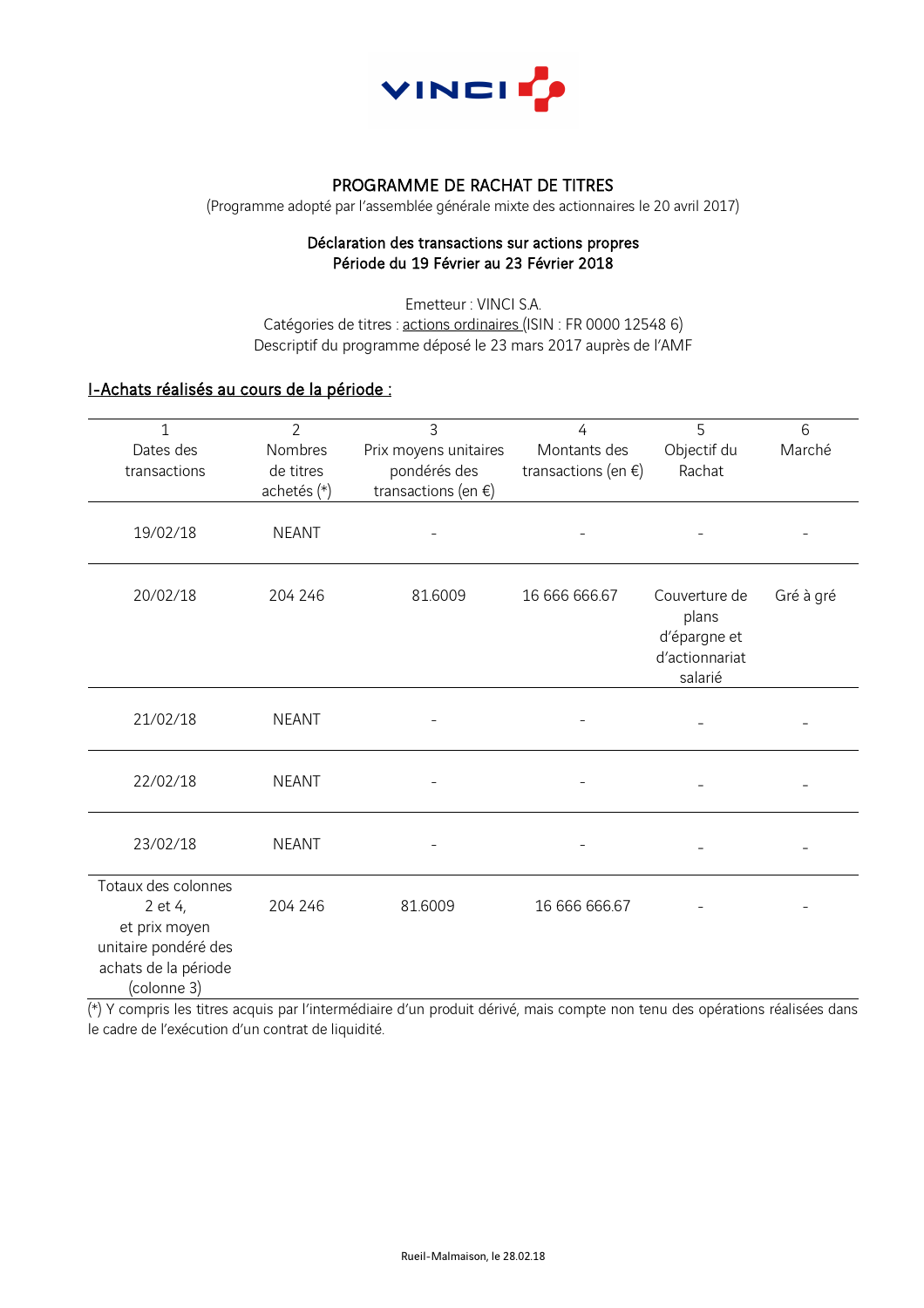

## PROGRAMME DE RACHAT DE TITRES

(Programme adopté par l'assemblée générale mixte des actionnaires le 20 avril 2017)

#### Déclaration des transactions sur actions propres Période du 19 Février au 23 Février 2018

Emetteur : VINCI S.A. Catégories de titres : actions ordinaires (ISIN : FR 0000 12548 6) Descriptif du programme déposé le 23 mars 2017 auprès de l'AMF

# I-Achats réalisés au cours de la période :

| $\mathbf{1}$<br>Dates des<br>transactions                                                                      | $\overline{2}$<br>Nombres<br>de titres<br>achetés (*) | 3<br>Prix moyens unitaires<br>pondérés des<br>transactions (en $\xi$ ) | 4<br>Montants des<br>transactions (en $\xi$ ) | 5<br>Objectif du<br>Rachat                                          | 6<br>Marché |
|----------------------------------------------------------------------------------------------------------------|-------------------------------------------------------|------------------------------------------------------------------------|-----------------------------------------------|---------------------------------------------------------------------|-------------|
| 19/02/18                                                                                                       | <b>NEANT</b>                                          |                                                                        |                                               |                                                                     |             |
| 20/02/18                                                                                                       | 204 246                                               | 81.6009                                                                | 16 666 666.67                                 | Couverture de<br>plans<br>d'épargne et<br>d'actionnariat<br>salarié | Gré à gré   |
| 21/02/18                                                                                                       | <b>NEANT</b>                                          |                                                                        |                                               |                                                                     |             |
| 22/02/18                                                                                                       | <b>NEANT</b>                                          |                                                                        |                                               |                                                                     |             |
| 23/02/18                                                                                                       | <b>NEANT</b>                                          |                                                                        |                                               |                                                                     |             |
| Totaux des colonnes<br>2 et 4,<br>et prix moyen<br>unitaire pondéré des<br>achats de la période<br>(colonne 3) | 204 246                                               | 81.6009                                                                | 16 666 666.67                                 |                                                                     |             |

(\*) Y compris les titres acquis par l'intermédiaire d'un produit dérivé, mais compte non tenu des opérations réalisées dans le cadre de l'exécution d'un contrat de liquidité.